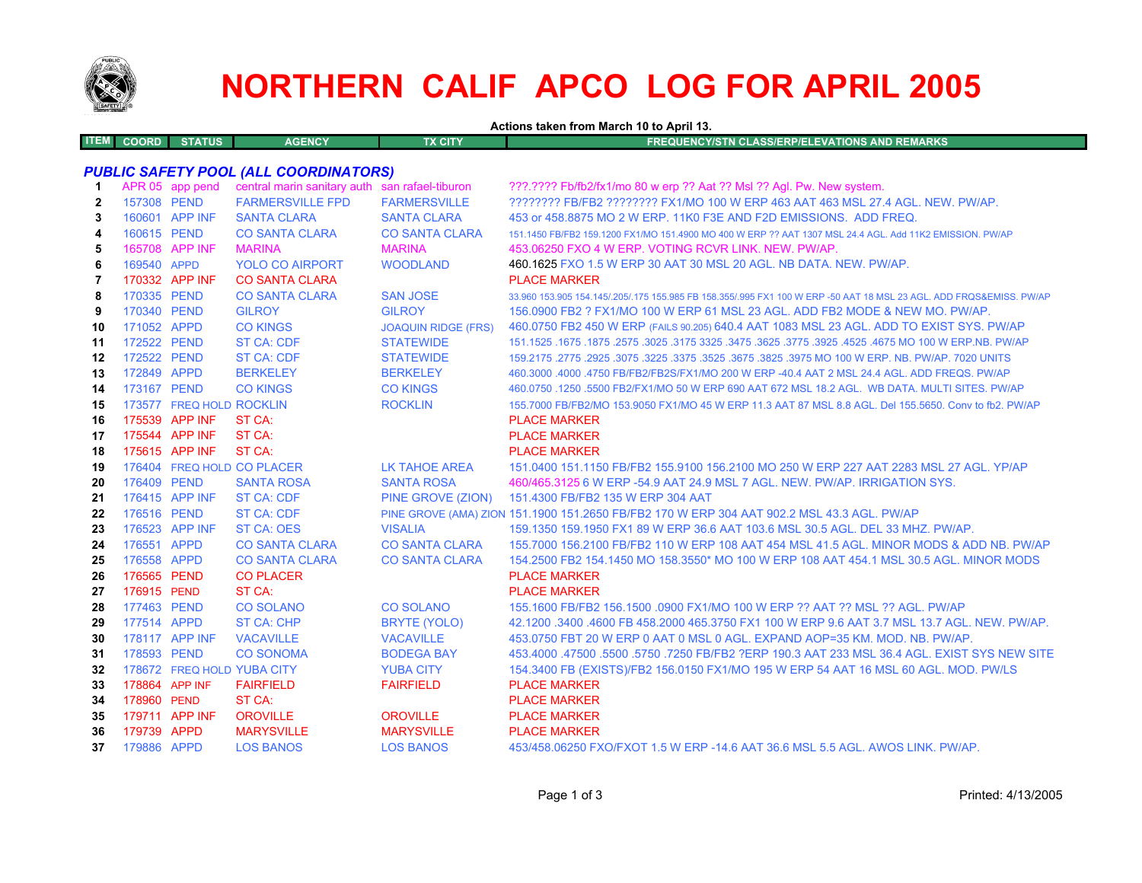

# **NORTHERN CALIF APCO LOG FOR APRIL 2005**

**Actions taken from March 10 to April 13.**

| <b>COORD</b> | <b>STATUS</b> | <b>AGENCY</b> | TX CITY' | FREQUENCY/STN CLASS/ERP/ELEVATIONS AND REMARKS ' |
|--------------|---------------|---------------|----------|--------------------------------------------------|
|              |               |               |          |                                                  |

# *PUBLIC SAFETY POOL (ALL COORDINATORS)*

| -1             |                | APR 05 app pend          | central marin sanitary auth san rafael-tiburon |                            | ???.???? Fb/fb2/fx1/mo 80 w erp ?? Aat ?? Msl ?? Agl. Pw. New system.                                               |
|----------------|----------------|--------------------------|------------------------------------------------|----------------------------|---------------------------------------------------------------------------------------------------------------------|
| $\mathbf{2}$   | 157308 PEND    |                          | <b>FARMERSVILLE FPD</b>                        | <b>FARMERSVILLE</b>        | ???????? FB/FB2 ???????? FX1/MO 100 W ERP 463 AAT 463 MSL 27.4 AGL. NEW. PW/AP.                                     |
| 3              |                | 160601 APP INF           | <b>SANTA CLARA</b>                             | <b>SANTA CLARA</b>         | 453 or 458,8875 MO 2 W ERP, 11K0 F3E AND F2D EMISSIONS. ADD FREQ.                                                   |
| 4              | 160615 PEND    |                          | <b>CO SANTA CLARA</b>                          | <b>CO SANTA CLARA</b>      | 151.1450 FB/FB2 159.1200 FX1/MO 151.4900 MO 400 W ERP ?? AAT 1307 MSL 24.4 AGL. Add 11K2 EMISSION, PW/AP            |
| 5              |                | 165708 APP INF           | <b>MARINA</b>                                  | <b>MARINA</b>              | 453.06250 FXO 4 W ERP. VOTING RCVR LINK, NEW, PW/AP.                                                                |
| 6              | 169540 APPD    |                          | <b>YOLO CO AIRPORT</b>                         | <b>WOODLAND</b>            | 460.1625 FXO 1.5 W ERP 30 AAT 30 MSL 20 AGL, NB DATA, NEW, PW/AP.                                                   |
| $\overline{7}$ |                | 170332 APP INF           | <b>CO SANTA CLARA</b>                          |                            | <b>PLACE MARKER</b>                                                                                                 |
| 8              | 170335 PEND    |                          | <b>CO SANTA CLARA</b>                          | <b>SAN JOSE</b>            | 33,960 153,905 154,145/,205/,175 155,985 FB 158,355/,995 FX1 100 W ERP -50 AAT 18 MSL 23 AGL, ADD FRQS&EMISS, PW/AP |
| 9              | 170340 PEND    |                          | <b>GILROY</b>                                  | <b>GILROY</b>              | 156,0900 FB2 ? FX1/MO 100 W ERP 61 MSL 23 AGL, ADD FB2 MODE & NEW MO, PW/AP.                                        |
| 10             | 171052 APPD    |                          | <b>CO KINGS</b>                                | <b>JOAQUIN RIDGE (FRS)</b> | 460.0750 FB2 450 W ERP (FAILS 90.205) 640.4 AAT 1083 MSL 23 AGL. ADD TO EXIST SYS. PW/AP                            |
| 11             | 172522 PEND    |                          | <b>ST CA: CDF</b>                              | <b>STATEWIDE</b>           | 151.1525 .1675 .1875 .2575 .3025 .3175 3325 .3475 .3625 .3775 .3925 .4525 .4675 MO 100 W ERP.NB. PW/AP              |
| 12             | 172522 PEND    |                          | ST CA: CDF                                     | <b>STATEWIDE</b>           | 159,2175,2775,2925,3075,3225,3375,3525,3675,3825,3975 MO 100 W ERP, NB, PW/AP, 7020 UNITS                           |
| 13             | 172849 APPD    |                          | <b>BERKELEY</b>                                | <b>BERKELEY</b>            | 460,3000 .4000 .4750 FB/FB2/FB2S/FX1/MO 200 W ERP -40.4 AAT 2 MSL 24.4 AGL, ADD FREQS, PW/AP                        |
| 14             | 173167 PEND    |                          | <b>CO KINGS</b>                                | <b>CO KINGS</b>            | 460.0750 .1250 .5500 FB2/FX1/MO 50 W ERP 690 AAT 672 MSL 18.2 AGL. WB DATA. MULTI SITES. PW/AP                      |
| 15             |                | 173577 FREQ HOLD ROCKLIN |                                                | <b>ROCKLIN</b>             | 155.7000 FB/FB2/MO 153.9050 FX1/MO 45 W ERP 11.3 AAT 87 MSL 8.8 AGL. Del 155.5650. Conv to fb2. PW/AP               |
| 16             |                | 175539 APP INF           | ST CA:                                         |                            | <b>PLACE MARKER</b>                                                                                                 |
| 17             |                | 175544 APP INF           | ST CA:                                         |                            | <b>PLACE MARKER</b>                                                                                                 |
| 18             |                | 175615 APP INF           | ST CA:                                         |                            | <b>PLACE MARKER</b>                                                                                                 |
| 19             |                |                          | 176404 FREQ HOLD CO PLACER                     | LK TAHOE AREA              | 151.0400 151.1150 FB/FB2 155.9100 156.2100 MO 250 W ERP 227 AAT 2283 MSL 27 AGL, YP/AP                              |
| 20             | 176409 PEND    |                          | <b>SANTA ROSA</b>                              | <b>SANTA ROSA</b>          | 460/465.3125 6 W ERP -54.9 AAT 24.9 MSL 7 AGL, NEW, PW/AP, IRRIGATION SYS.                                          |
| 21             |                | 176415 APP INF           | <b>ST CA: CDF</b>                              | PINE GROVE (ZION)          | 151.4300 FB/FB2 135 W ERP 304 AAT                                                                                   |
| 22             | 176516 PEND    |                          | <b>ST CA: CDF</b>                              |                            | PINE GROVE (AMA) ZION 151.1900 151.2650 FB/FB2 170 W ERP 304 AAT 902.2 MSL 43.3 AGL. PW/AP                          |
| 23             |                | 176523 APP INF           | <b>ST CA: OES</b>                              | <b>VISALIA</b>             | 159.1350 159.1950 FX1 89 W ERP 36.6 AAT 103.6 MSL 30.5 AGL, DEL 33 MHZ, PW/AP,                                      |
| 24             | 176551 APPD    |                          | <b>CO SANTA CLARA</b>                          | <b>CO SANTA CLARA</b>      | 155,7000 156,2100 FB/FB2 110 W ERP 108 AAT 454 MSL 41.5 AGL, MINOR MODS & ADD NB, PW/AP                             |
| 25             | 176558 APPD    |                          | <b>CO SANTA CLARA</b>                          | <b>CO SANTA CLARA</b>      | 154,2500 FB2 154,1450 MO 158,3550* MO 100 W ERP 108 AAT 454,1 MSL 30.5 AGL. MINOR MODS                              |
| 26             | 176565 PEND    |                          | <b>CO PLACER</b>                               |                            | <b>PLACE MARKER</b>                                                                                                 |
| 27             | 176915 PEND    |                          | ST CA:                                         |                            | <b>PLACE MARKER</b>                                                                                                 |
| 28             | 177463 PEND    |                          | <b>CO SOLANO</b>                               | <b>CO SOLANO</b>           | 155.1600 FB/FB2 156.1500 .0900 FX1/MO 100 W ERP ?? AAT ?? MSL ?? AGL. PW/AP                                         |
| 29             | 177514 APPD    |                          | <b>ST CA: CHP</b>                              | <b>BRYTE (YOLO)</b>        | 42.1200 .3400 .4600 FB 458.2000 465.3750 FX1 100 W ERP 9.6 AAT 3.7 MSL 13.7 AGL. NEW. PW/AP.                        |
| 30             |                | 178117 APP INF           | <b>VACAVILLE</b>                               | <b>VACAVILLE</b>           | 453.0750 FBT 20 W ERP 0 AAT 0 MSL 0 AGL, EXPAND AOP=35 KM, MOD, NB, PW/AP,                                          |
| 31             | 178593 PEND    |                          | <b>CO SONOMA</b>                               | <b>BODEGA BAY</b>          | 453,4000 .47500 .5500 .5750 .7250 FB/FB2 ?ERP 190.3 AAT 233 MSL 36.4 AGL. EXIST SYS NEW SITE                        |
| 32             |                |                          | 178672 FREQ HOLD YUBA CITY                     | <b>YUBA CITY</b>           | 154.3400 FB (EXISTS)/FB2 156.0150 FX1/MO 195 W ERP 54 AAT 16 MSL 60 AGL. MOD. PW/LS                                 |
| 33             | 178864 APP INF |                          | <b>FAIRFIELD</b>                               | <b>FAIRFIELD</b>           | <b>PLACE MARKER</b>                                                                                                 |
| 34             | 178960 PEND    |                          | ST CA:                                         |                            | <b>PLACE MARKER</b>                                                                                                 |
| 35             |                | 179711 APP INF           | <b>OROVILLE</b>                                | <b>OROVILLE</b>            | <b>PLACE MARKER</b>                                                                                                 |
| 36             | 179739 APPD    |                          | <b>MARYSVILLE</b>                              | <b>MARYSVILLE</b>          | <b>PLACE MARKER</b>                                                                                                 |
| 37             | 179886 APPD    |                          | <b>LOS BANOS</b>                               | <b>LOS BANOS</b>           | 453/458.06250 FXO/FXOT 1.5 W ERP -14.6 AAT 36.6 MSL 5.5 AGL, AWOS LINK, PW/AP,                                      |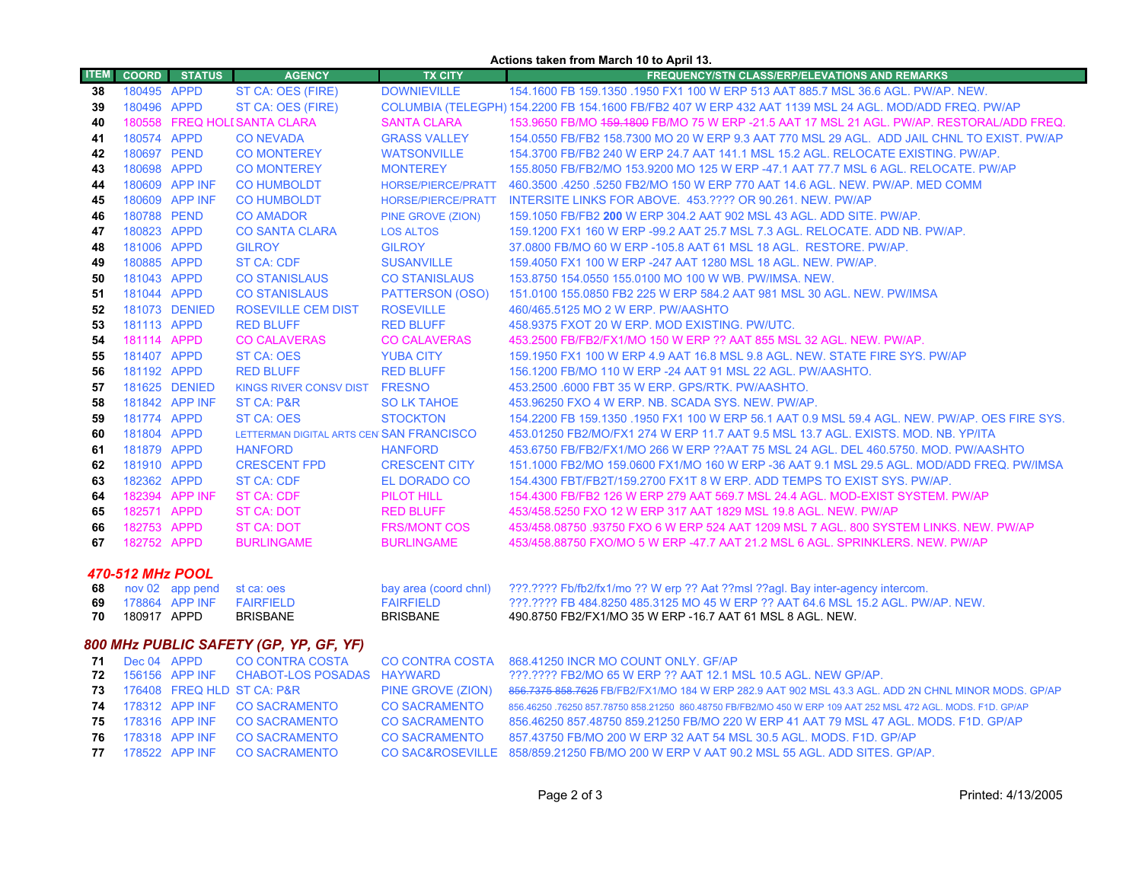### **Actions taken from March 10 to April 13.**

| <b>ITEM</b>                            | <b>COORD</b>     | <b>STATUS</b>                     | <b>AGENCY</b>                            | <b>TX CITY</b>                            | <b>FREQUENCY/STN CLASS/ERP/ELEVATIONS AND REMARKS</b>                                                                                                             |  |
|----------------------------------------|------------------|-----------------------------------|------------------------------------------|-------------------------------------------|-------------------------------------------------------------------------------------------------------------------------------------------------------------------|--|
| 38                                     | 180495 APPD      |                                   | ST CA: OES (FIRE)                        | <b>DOWNIEVILLE</b>                        | 154,1600 FB 159,1350,1950 FX1 100 W ERP 513 AAT 885.7 MSL 36.6 AGL, PW/AP, NEW.                                                                                   |  |
| 39                                     | 180496 APPD      |                                   | ST CA: OES (FIRE)                        |                                           | COLUMBIA (TELEGPH) 154.2200 FB 154.1600 FB/FB2 407 W ERP 432 AAT 1139 MSL 24 AGL. MOD/ADD FREQ. PW/AP                                                             |  |
| 40                                     |                  |                                   | 180558 FREQ HOLI SANTA CLARA             | <b>SANTA CLARA</b>                        | 153.9650 FB/MO 459.1800 FB/MO 75 W ERP -21.5 AAT 17 MSL 21 AGL. PW/AP. RESTORAL/ADD FREQ.                                                                         |  |
| 41                                     | 180574 APPD      |                                   | <b>CONEVADA</b>                          | <b>GRASS VALLEY</b>                       | 154,0550 FB/FB2 158,7300 MO 20 W ERP 9.3 AAT 770 MSL 29 AGL. ADD JAIL CHNL TO EXIST, PW/AP                                                                        |  |
| 42                                     | 180697 PEND      |                                   | <b>CO MONTEREY</b>                       | <b>WATSONVILLE</b>                        | 154.3700 FB/FB2 240 W ERP 24.7 AAT 141.1 MSL 15.2 AGL. RELOCATE EXISTING. PW/AP.                                                                                  |  |
| 43                                     | 180698 APPD      |                                   | <b>CO MONTEREY</b>                       | <b>MONTEREY</b>                           | 155.8050 FB/FB2/MO 153.9200 MO 125 W ERP -47.1 AAT 77.7 MSL 6 AGL. RELOCATE. PW/AP                                                                                |  |
| 44                                     |                  | 180609 APP INF                    | <b>CO HUMBOLDT</b>                       | HORSE/PIERCE/PRATT                        | 460.3500 .4250 .5250 FB2/MO 150 W ERP 770 AAT 14.6 AGL. NEW. PW/AP. MED COMM                                                                                      |  |
| 45                                     |                  | 180609 APP INF                    | <b>CO HUMBOLDT</b>                       | HORSE/PIERCE/PRATT                        | INTERSITE LINKS FOR ABOVE. 453.???? OR 90.261. NEW. PW/AP                                                                                                         |  |
| 46                                     | 180788 PEND      |                                   | <b>CO AMADOR</b>                         | PINE GROVE (ZION)                         | 159.1050 FB/FB2 200 W ERP 304.2 AAT 902 MSL 43 AGL. ADD SITE. PW/AP.                                                                                              |  |
| 47                                     | 180823 APPD      |                                   | <b>CO SANTA CLARA</b>                    | <b>LOS ALTOS</b>                          | 159.1200 FX1 160 W ERP -99.2 AAT 25.7 MSL 7.3 AGL. RELOCATE. ADD NB. PW/AP.                                                                                       |  |
| 48                                     | 181006 APPD      |                                   | <b>GILROY</b>                            | <b>GILROY</b>                             | 37.0800 FB/MO 60 W ERP -105.8 AAT 61 MSL 18 AGL. RESTORE. PW/AP.                                                                                                  |  |
| 49                                     | 180885 APPD      |                                   | <b>ST CA: CDF</b>                        | <b>SUSANVILLE</b>                         | 159.4050 FX1 100 W ERP -247 AAT 1280 MSL 18 AGL. NEW. PW/AP.                                                                                                      |  |
| 50                                     | 181043 APPD      |                                   | <b>CO STANISLAUS</b>                     | <b>CO STANISLAUS</b>                      | 153.8750 154.0550 155.0100 MO 100 W WB. PW/IMSA. NEW.                                                                                                             |  |
| -51                                    | 181044 APPD      |                                   | <b>CO STANISLAUS</b>                     | PATTERSON (OSO)                           | 151,0100 155,0850 FB2 225 W ERP 584.2 AAT 981 MSL 30 AGL, NEW, PW/IMSA                                                                                            |  |
| 52                                     |                  | 181073 DENIED                     | <b>ROSEVILLE CEM DIST</b>                | <b>ROSEVILLE</b>                          | 460/465.5125 MO 2 W ERP. PW/AASHTO                                                                                                                                |  |
| 53                                     | 181113 APPD      |                                   | <b>RED BLUFF</b>                         | <b>RED BLUFF</b>                          | 458.9375 FXOT 20 W ERP. MOD EXISTING. PW/UTC.                                                                                                                     |  |
| 54                                     | 181114 APPD      |                                   | <b>CO CALAVERAS</b>                      | <b>CO CALAVERAS</b>                       | 453.2500 FB/FB2/FX1/MO 150 W ERP ?? AAT 855 MSL 32 AGL. NEW. PW/AP.                                                                                               |  |
| 55                                     | 181407 APPD      |                                   | <b>ST CA: OES</b>                        | <b>YUBA CITY</b>                          | 159.1950 FX1 100 W ERP 4.9 AAT 16.8 MSL 9.8 AGL. NEW. STATE FIRE SYS. PW/AP                                                                                       |  |
| 56                                     | 181192 APPD      |                                   | <b>RED BLUFF</b>                         | <b>RED BLUFF</b>                          | 156.1200 FB/MO 110 W ERP -24 AAT 91 MSL 22 AGL, PW/AASHTO.                                                                                                        |  |
| 57                                     |                  | 181625 DENIED                     | KINGS RIVER CONSV DIST FRESNO            |                                           | 453.2500 6000 FBT 35 W ERP. GPS/RTK. PW/AASHTO.                                                                                                                   |  |
| 58                                     |                  | 181842 APP INF                    | ST CA: P&R                               | <b>SO LK TAHOE</b>                        | 453.96250 FXO 4 W ERP. NB. SCADA SYS. NEW. PW/AP.                                                                                                                 |  |
| 59                                     | 181774 APPD      |                                   | <b>ST CA: OES</b>                        | <b>STOCKTON</b>                           | 154.2200 FB 159.1350 .1950 FX1 100 W ERP 56.1 AAT 0.9 MSL 59.4 AGL. NEW. PW/AP. OES FIRE SYS.                                                                     |  |
| 60                                     | 181804 APPD      |                                   | LETTERMAN DIGITAL ARTS CEN SAN FRANCISCO |                                           | 453.01250 FB2/MO/FX1 274 W ERP 11.7 AAT 9.5 MSL 13.7 AGL. EXISTS. MOD. NB. YP/ITA                                                                                 |  |
| 61                                     | 181879 APPD      |                                   | <b>HANFORD</b>                           | <b>HANFORD</b>                            | 453.6750 FB/FB2/FX1/MO 266 W ERP ??AAT 75 MSL 24 AGL, DEL 460.5750, MOD, PW/AASHTO                                                                                |  |
| 62                                     | 181910 APPD      |                                   | <b>CRESCENT FPD</b>                      | <b>CRESCENT CITY</b>                      | 151.1000 FB2/MO 159.0600 FX1/MO 160 W ERP -36 AAT 9.1 MSL 29.5 AGL. MOD/ADD FREQ. PW/IMSA                                                                         |  |
| 63                                     | 182362 APPD      |                                   | <b>ST CA: CDF</b>                        | EL DORADO CO                              | 154.4300 FBT/FB2T/159.2700 FX1T 8 W ERP. ADD TEMPS TO EXIST SYS. PW/AP.                                                                                           |  |
| 64                                     |                  | 182394 APP INF                    | <b>ST CA: CDF</b>                        | PILOT HILL                                | 154.4300 FB/FB2 126 W ERP 279 AAT 569.7 MSL 24.4 AGL. MOD-EXIST SYSTEM. PW/AP                                                                                     |  |
| 65                                     | 182571 APPD      |                                   | ST CA: DOT                               | <b>RED BLUFF</b>                          | 453/458.5250 FXO 12 W ERP 317 AAT 1829 MSL 19.8 AGL. NEW. PW/AP                                                                                                   |  |
| 66                                     | 182753 APPD      |                                   | <b>ST CA: DOT</b>                        | <b>FRS/MONT COS</b>                       | 453/458.08750 .93750 FXO 6 W ERP 524 AAT 1209 MSL 7 AGL. 800 SYSTEM LINKS. NEW. PW/AP                                                                             |  |
| 67                                     | 182752 APPD      |                                   | <b>BURLINGAME</b>                        | <b>BURLINGAME</b>                         | 453/458.88750 FXO/MO 5 W ERP -47.7 AAT 21.2 MSL 6 AGL, SPRINKLERS, NEW, PW/AP                                                                                     |  |
|                                        |                  |                                   |                                          |                                           |                                                                                                                                                                   |  |
|                                        | 470-512 MHz POOL |                                   |                                          |                                           |                                                                                                                                                                   |  |
| 68<br>69                               |                  | nov 02 app pend<br>178864 APP INF | st ca: oes<br><b>FAIRFIELD</b>           | bay area (coord chnl)<br><b>FAIRFIELD</b> | ???.???? Fb/fb2/fx1/mo ?? W erp ?? Aat ??msl ??agl. Bay inter-agency intercom.<br>???.???? FB 484.8250 485.3125 MO 45 W ERP ?? AAT 64.6 MSL 15.2 AGL, PW/AP, NEW. |  |
| 70                                     | 180917 APPD      |                                   | <b>BRISBANE</b>                          | <b>BRISBANE</b>                           | 490.8750 FB2/FX1/MO 35 W ERP -16.7 AAT 61 MSL 8 AGL. NEW.                                                                                                         |  |
|                                        |                  |                                   |                                          |                                           |                                                                                                                                                                   |  |
| 800 MHz PUBLIC SAFETY (GP, YP, GF, YF) |                  |                                   |                                          |                                           |                                                                                                                                                                   |  |
| 71                                     | Dec 04 APPD      |                                   | <b>CO CONTRA COSTA</b>                   | <b>CO CONTRA COSTA</b>                    | 868.41250 INCR MO COUNT ONLY. GF/AP                                                                                                                               |  |
| 72                                     |                  | 156156 APP INF                    | CHABOT-LOS POSADAS HAYWARD               |                                           | ???.???? FB2/MO 65 W ERP ?? AAT 12.1 MSL 10.5 AGL. NEW GP/AP.                                                                                                     |  |
| 73                                     |                  |                                   | 176408 FREQ HLD ST CA: P&R               | PINE GROVE (ZION)                         | 856,7375 858,7625 FB/FB2/FX1/MO 184 W ERP 282.9 AAT 902 MSL 43.3 AGL. ADD 2N CHNL MINOR MODS. GP/AP                                                               |  |
| 74                                     |                  | 178312 APP INF                    | <b>CO SACRAMENTO</b>                     | <b>CO SACRAMENTO</b>                      | 856.46250 .76250 857.78750 858.21250 860.48750 FB/FB2/MO 450 W ERP 109 AAT 252 MSL 472 AGL. MODS. F1D. GP/AP                                                      |  |
| 75                                     |                  | 178316 APP INF                    | <b>CO SACRAMENTO</b>                     | <b>CO SACRAMENTO</b>                      | 856.46250 857.48750 859.21250 FB/MO 220 W ERP 41 AAT 79 MSL 47 AGL. MODS. F1D. GP/AP                                                                              |  |
| 76                                     |                  | 178318 APP INF                    | <b>CO SACRAMENTO</b>                     | <b>CO SACRAMENTO</b>                      | 857.43750 FB/MO 200 W ERP 32 AAT 54 MSL 30.5 AGL. MODS, F1D, GP/AP                                                                                                |  |
| 77                                     |                  | 178522 APP INF                    | <b>CO SACRAMENTO</b>                     |                                           | CO SAC&ROSEVILLE 858/859.21250 FB/MO 200 W ERP V AAT 90.2 MSL 55 AGL, ADD SITES, GP/AP                                                                            |  |